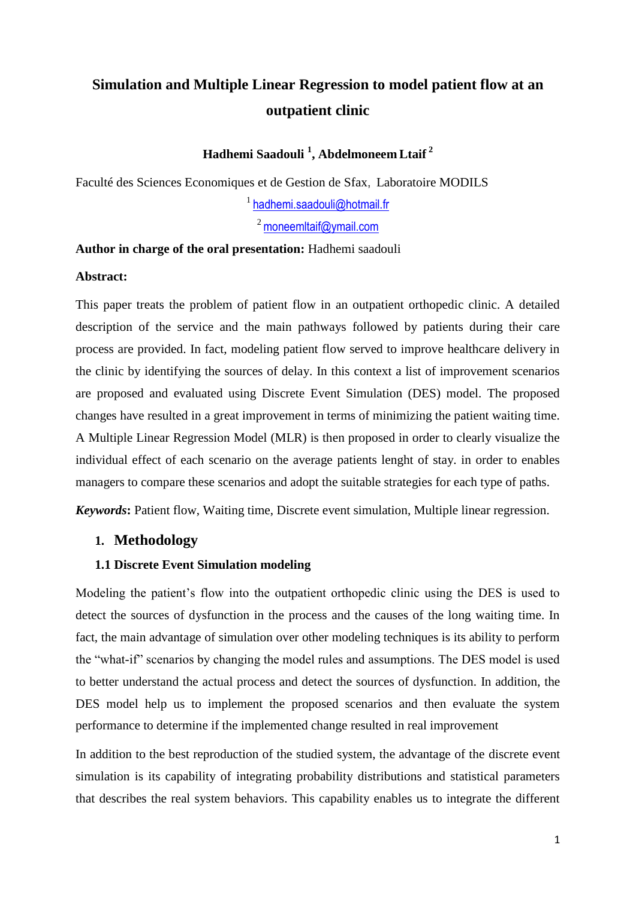# **Simulation and Multiple Linear Regression to model patient flow at an outpatient clinic**

# **Hadhemi Saadouli <sup>1</sup> , Abdelmoneem Ltaif <sup>2</sup>**

Faculté des Sciences Economiques et de Gestion de Sfax, Laboratoire MODILS

<sup>1</sup> [hadhemi.saadouli@hotmail.f](mailto:hadhemi.saadouli@hotmail.)r

 $2$  [moneemltaif@ymail.com](mailto:moneemltaif@ymail.com)

#### **Author in charge of the oral presentation:** Hadhemi saadouli

## **Abstract:**

This paper treats the problem of patient flow in an outpatient orthopedic clinic. A detailed description of the service and the main pathways followed by patients during their care process are provided. In fact, modeling patient flow served to improve healthcare delivery in the clinic by identifying the sources of delay. In this context a list of improvement scenarios are proposed and evaluated using Discrete Event Simulation (DES) model. The proposed changes have resulted in a great improvement in terms of minimizing the patient waiting time. A Multiple Linear Regression Model (MLR) is then proposed in order to clearly visualize the individual effect of each scenario on the average patients lenght of stay. in order to enables managers to compare these scenarios and adopt the suitable strategies for each type of paths.

*Keywords***:** Patient flow, Waiting time, Discrete event simulation, Multiple linear regression.

## **1. Methodology**

## **1.1 Discrete Event Simulation modeling**

Modeling the patient's flow into the outpatient orthopedic clinic using the DES is used to detect the sources of dysfunction in the process and the causes of the long waiting time. In fact, the main advantage of simulation over other modeling techniques is its ability to perform the "what-if" scenarios by changing the model rules and assumptions. The DES model is used to better understand the actual process and detect the sources of dysfunction. In addition, the DES model help us to implement the proposed scenarios and then evaluate the system performance to determine if the implemented change resulted in real improvement

In addition to the best reproduction of the studied system, the advantage of the discrete event simulation is its capability of integrating probability distributions and statistical parameters that describes the real system behaviors. This capability enables us to integrate the different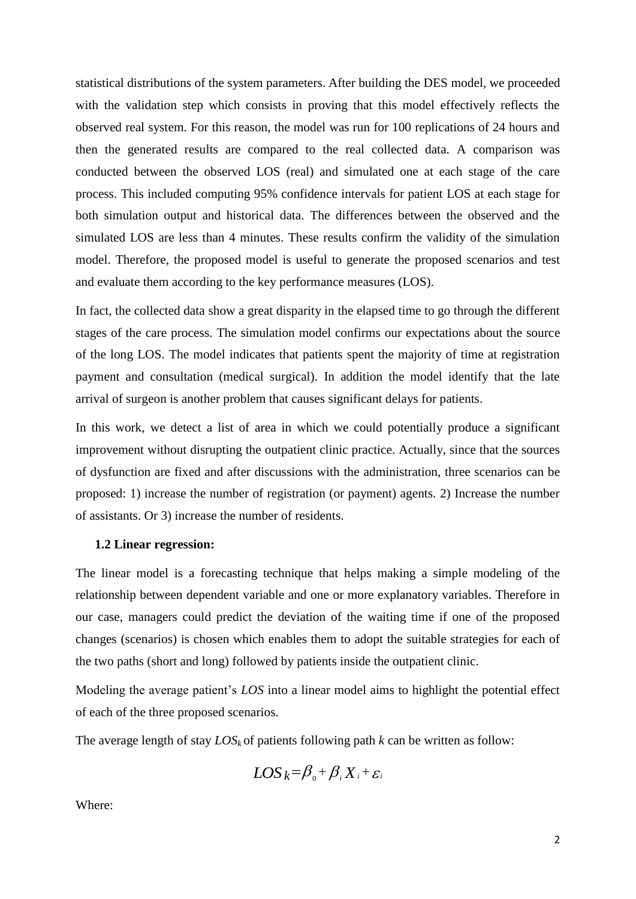statistical distributions of the system parameters. After building the DES model, we proceeded with the validation step which consists in proving that this model effectively reflects the observed real system. For this reason, the model was run for 100 replications of 24 hours and then the generated results are compared to the real collected data. A comparison was conducted between the observed LOS (real) and simulated one at each stage of the care process. This included computing 95% confidence intervals for patient LOS at each stage for both simulation output and historical data. The differences between the observed and the simulated LOS are less than 4 minutes. These results confirm the validity of the simulation model. Therefore, the proposed model is useful to generate the proposed scenarios and test and evaluate them according to the key performance measures (LOS).

In fact, the collected data show a great disparity in the elapsed time to go through the different stages of the care process. The simulation model confirms our expectations about the source of the long LOS. The model indicates that patients spent the majority of time at registration payment and consultation (medical surgical). In addition the model identify that the late arrival of surgeon is another problem that causes significant delays for patients.

In this work, we detect a list of area in which we could potentially produce a significant improvement without disrupting the outpatient clinic practice. Actually, since that the sources of dysfunction are fixed and after discussions with the administration, three scenarios can be proposed: 1) increase the number of registration (or payment) agents. 2) Increase the number of assistants. Or 3) increase the number of residents.

#### **1.2 Linear regression:**

The linear model is a forecasting technique that helps making a simple modeling of the relationship between dependent variable and one or more explanatory variables. Therefore in our case, managers could predict the deviation of the waiting time if one of the proposed changes (scenarios) is chosen which enables them to adopt the suitable strategies for each of the two paths (short and long) followed by patients inside the outpatient clinic.

Modeling the average patient's *LOS* into a linear model aims to highlight the potential effect of each of the three proposed scenarios.

The average length of stay  $LOS_k$  of patients following path  $k$  can be written as follow:

$$
LOS_k = \beta_0 + \beta_i X_i + \varepsilon_i
$$

Where: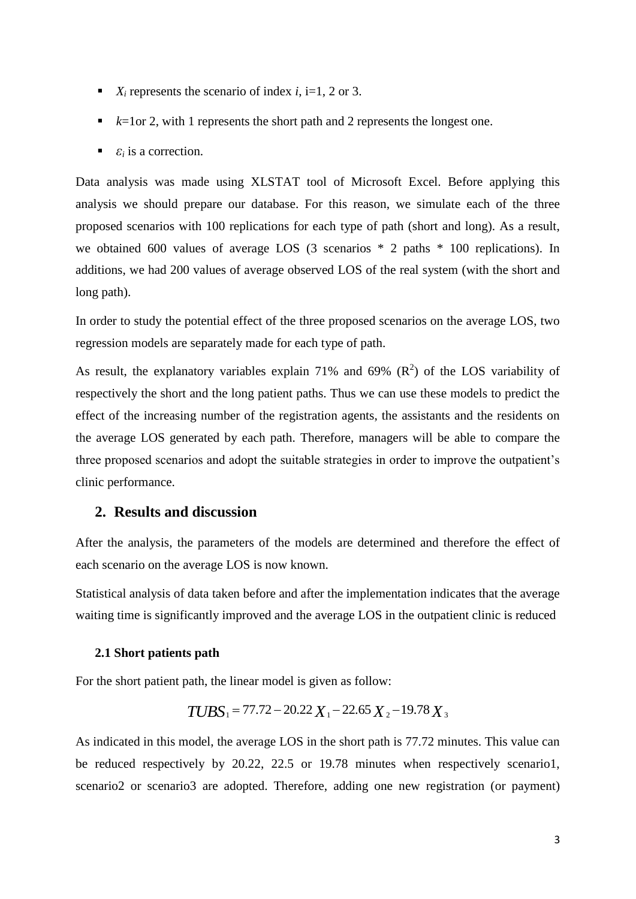- $\blacksquare$  *X<sub>i</sub>* represents the scenario of index *i*, i=1, 2 or 3.
- $\blacktriangleright$  *k*=1or 2, with 1 represents the short path and 2 represents the longest one.
- $\bullet$  *ε<sub>i</sub>* is a correction.

Data analysis was made using XLSTAT tool of Microsoft Excel. Before applying this analysis we should prepare our database. For this reason, we simulate each of the three proposed scenarios with 100 replications for each type of path (short and long). As a result, we obtained 600 values of average LOS (3 scenarios \* 2 paths \* 100 replications). In additions, we had 200 values of average observed LOS of the real system (with the short and long path).

In order to study the potential effect of the three proposed scenarios on the average LOS, two regression models are separately made for each type of path.

As result, the explanatory variables explain 71% and 69%  $(R^2)$  of the LOS variability of respectively the short and the long patient paths. Thus we can use these models to predict the effect of the increasing number of the registration agents, the assistants and the residents on the average LOS generated by each path. Therefore, managers will be able to compare the three proposed scenarios and adopt the suitable strategies in order to improve the outpatient's clinic performance.

# **2. Results and discussion**

After the analysis, the parameters of the models are determined and therefore the effect of each scenario on the average LOS is now known.

Statistical analysis of data taken before and after the implementation indicates that the average waiting time is significantly improved and the average LOS in the outpatient clinic is reduced

#### **2.1 Short patients path**

For the short patient path, the linear model is given as follow:

$$
TUBS_1 = 77.72 - 20.22 X_1 - 22.65 X_2 - 19.78 X_3
$$

As indicated in this model, the average LOS in the short path is 77.72 minutes. This value can be reduced respectively by 20.22, 22.5 or 19.78 minutes when respectively scenario1, scenario2 or scenario3 are adopted. Therefore, adding one new registration (or payment)